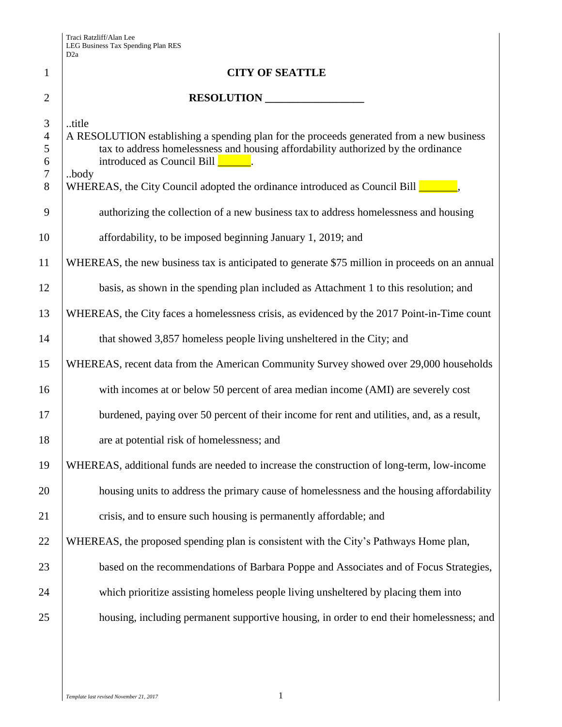|                                                      | D <sub>2</sub> a                                                                                                                                                                                                                                                                                                |
|------------------------------------------------------|-----------------------------------------------------------------------------------------------------------------------------------------------------------------------------------------------------------------------------------------------------------------------------------------------------------------|
| 1                                                    | <b>CITY OF SEATTLE</b>                                                                                                                                                                                                                                                                                          |
| $\overline{2}$                                       | RESOLUTION                                                                                                                                                                                                                                                                                                      |
| 3<br>$\overline{4}$<br>5<br>6<br>$\overline{7}$<br>8 | title<br>A RESOLUTION establishing a spending plan for the proceeds generated from a new business<br>tax to address homelessness and housing affordability authorized by the ordinance<br>$introduced as Council Bill$ .<br>.body<br>WHEREAS, the City Council adopted the ordinance introduced as Council Bill |
| 9                                                    | authorizing the collection of a new business tax to address homelessness and housing                                                                                                                                                                                                                            |
| 10                                                   | affordability, to be imposed beginning January 1, 2019; and                                                                                                                                                                                                                                                     |
| 11                                                   | WHEREAS, the new business tax is anticipated to generate \$75 million in proceeds on an annual                                                                                                                                                                                                                  |
| 12                                                   | basis, as shown in the spending plan included as Attachment 1 to this resolution; and                                                                                                                                                                                                                           |
| 13                                                   | WHEREAS, the City faces a homelessness crisis, as evidenced by the 2017 Point-in-Time count                                                                                                                                                                                                                     |
| 14                                                   | that showed 3,857 homeless people living unsheltered in the City; and                                                                                                                                                                                                                                           |
| 15                                                   | WHEREAS, recent data from the American Community Survey showed over 29,000 households                                                                                                                                                                                                                           |
| 16                                                   | with incomes at or below 50 percent of area median income (AMI) are severely cost                                                                                                                                                                                                                               |
| 17                                                   | burdened, paying over 50 percent of their income for rent and utilities, and, as a result,                                                                                                                                                                                                                      |
| 18                                                   | are at potential risk of homelessness; and                                                                                                                                                                                                                                                                      |
| 19                                                   | WHEREAS, additional funds are needed to increase the construction of long-term, low-income                                                                                                                                                                                                                      |
| 20                                                   | housing units to address the primary cause of homelessness and the housing affordability                                                                                                                                                                                                                        |
| 21                                                   | crisis, and to ensure such housing is permanently affordable; and                                                                                                                                                                                                                                               |
| 22                                                   | WHEREAS, the proposed spending plan is consistent with the City's Pathways Home plan,                                                                                                                                                                                                                           |
| 23                                                   | based on the recommendations of Barbara Poppe and Associates and of Focus Strategies,                                                                                                                                                                                                                           |
| 24                                                   | which prioritize assisting homeless people living unsheltered by placing them into                                                                                                                                                                                                                              |
| 25                                                   | housing, including permanent supportive housing, in order to end their homelessness; and                                                                                                                                                                                                                        |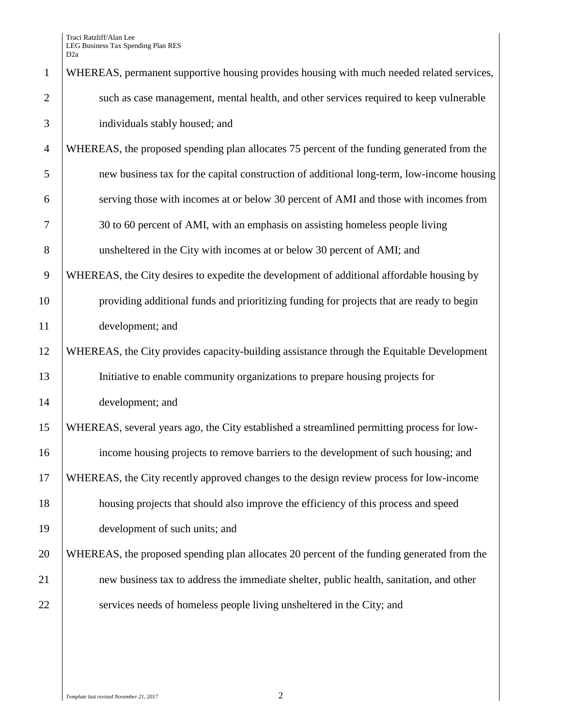| $\mathbf{1}$   | WHEREAS, permanent supportive housing provides housing with much needed related services,  |
|----------------|--------------------------------------------------------------------------------------------|
| $\overline{2}$ | such as case management, mental health, and other services required to keep vulnerable     |
| 3              | individuals stably housed; and                                                             |
| $\overline{4}$ | WHEREAS, the proposed spending plan allocates 75 percent of the funding generated from the |
| 5              | new business tax for the capital construction of additional long-term, low-income housing  |
| 6              | serving those with incomes at or below 30 percent of AMI and those with incomes from       |
| $\overline{7}$ | 30 to 60 percent of AMI, with an emphasis on assisting homeless people living              |
| 8              | unsheltered in the City with incomes at or below 30 percent of AMI; and                    |
| 9              | WHEREAS, the City desires to expedite the development of additional affordable housing by  |
| 10             | providing additional funds and prioritizing funding for projects that are ready to begin   |
| 11             | development; and                                                                           |
| 12             | WHEREAS, the City provides capacity-building assistance through the Equitable Development  |
| 13             | Initiative to enable community organizations to prepare housing projects for               |
| 14             | development; and                                                                           |
| 15             | WHEREAS, several years ago, the City established a streamlined permitting process for low- |
| 16             | income housing projects to remove barriers to the development of such housing; and         |
| 17             | WHEREAS, the City recently approved changes to the design review process for low-income    |
| 18             | housing projects that should also improve the efficiency of this process and speed         |
| 19             | development of such units; and                                                             |
| 20             | WHEREAS, the proposed spending plan allocates 20 percent of the funding generated from the |
| 21             | new business tax to address the immediate shelter, public health, sanitation, and other    |
| 22             | services needs of homeless people living unsheltered in the City; and                      |
|                |                                                                                            |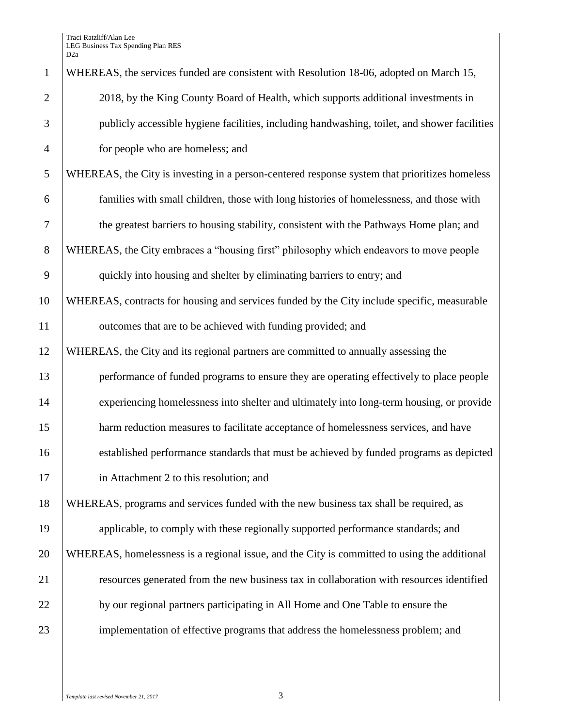Traci Ratzliff/Alan Lee LEG Business Tax Spending Plan RES D2a

| $\mathbf{1}$   | WHEREAS, the services funded are consistent with Resolution 18-06, adopted on March 15,       |
|----------------|-----------------------------------------------------------------------------------------------|
| $\overline{2}$ | 2018, by the King County Board of Health, which supports additional investments in            |
| 3              | publicly accessible hygiene facilities, including handwashing, toilet, and shower facilities  |
| $\overline{4}$ | for people who are homeless; and                                                              |
| 5              | WHEREAS, the City is investing in a person-centered response system that prioritizes homeless |
| 6              | families with small children, those with long histories of homelessness, and those with       |
| 7              | the greatest barriers to housing stability, consistent with the Pathways Home plan; and       |
| 8              | WHEREAS, the City embraces a "housing first" philosophy which endeavors to move people        |
| 9              | quickly into housing and shelter by eliminating barriers to entry; and                        |
| 10             | WHEREAS, contracts for housing and services funded by the City include specific, measurable   |
| 11             | outcomes that are to be achieved with funding provided; and                                   |
| 12             | WHEREAS, the City and its regional partners are committed to annually assessing the           |
| 13             | performance of funded programs to ensure they are operating effectively to place people       |
| 14             | experiencing homelessness into shelter and ultimately into long-term housing, or provide      |
| 15             | harm reduction measures to facilitate acceptance of homelessness services, and have           |
| 16             | established performance standards that must be achieved by funded programs as depicted        |
| 17             | in Attachment 2 to this resolution; and                                                       |
| 18             | WHEREAS, programs and services funded with the new business tax shall be required, as         |
| 19             | applicable, to comply with these regionally supported performance standards; and              |
| 20             | WHEREAS, homelessness is a regional issue, and the City is committed to using the additional  |
| 21             | resources generated from the new business tax in collaboration with resources identified      |
| 22             | by our regional partners participating in All Home and One Table to ensure the                |
| 23             | implementation of effective programs that address the homelessness problem; and               |
|                |                                                                                               |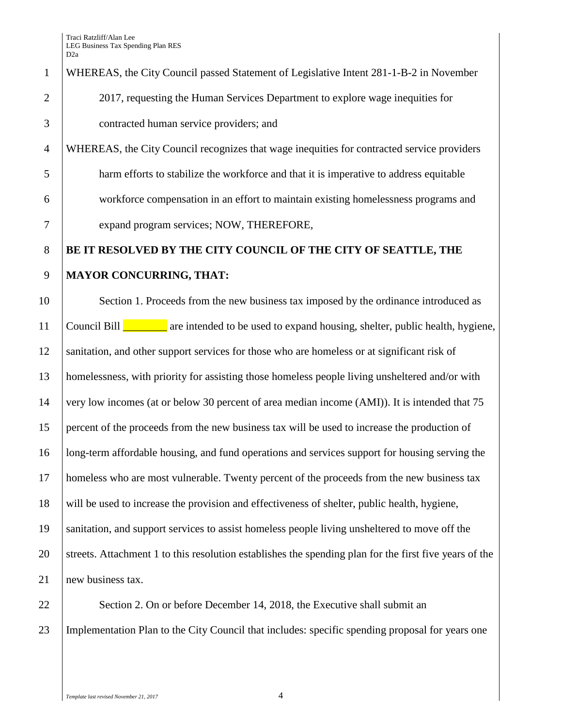## WHEREAS, the City Council passed Statement of Legislative Intent 281-1-B-2 in November 2 2017, requesting the Human Services Department to explore wage inequities for contracted human service providers; and

 WHEREAS, the City Council recognizes that wage inequities for contracted service providers harm efforts to stabilize the workforce and that it is imperative to address equitable workforce compensation in an effort to maintain existing homelessness programs and expand program services; NOW, THEREFORE,

## **BE IT RESOLVED BY THE CITY COUNCIL OF THE CITY OF SEATTLE, THE MAYOR CONCURRING, THAT:**

10 Section 1. Proceeds from the new business tax imposed by the ordinance introduced as Council Bill \_\_\_\_\_\_\_\_ are intended to be used to expand housing, shelter, public health, hygiene, sanitation, and other support services for those who are homeless or at significant risk of homelessness, with priority for assisting those homeless people living unsheltered and/or with very low incomes (at or below 30 percent of area median income (AMI)). It is intended that 75 percent of the proceeds from the new business tax will be used to increase the production of long-term affordable housing, and fund operations and services support for housing serving the homeless who are most vulnerable. Twenty percent of the proceeds from the new business tax will be used to increase the provision and effectiveness of shelter, public health, hygiene, sanitation, and support services to assist homeless people living unsheltered to move off the 20 Streets. Attachment 1 to this resolution establishes the spending plan for the first five years of the 21 new business tax.

22 Section 2. On or before December 14, 2018, the Executive shall submit an Implementation Plan to the City Council that includes: specific spending proposal for years one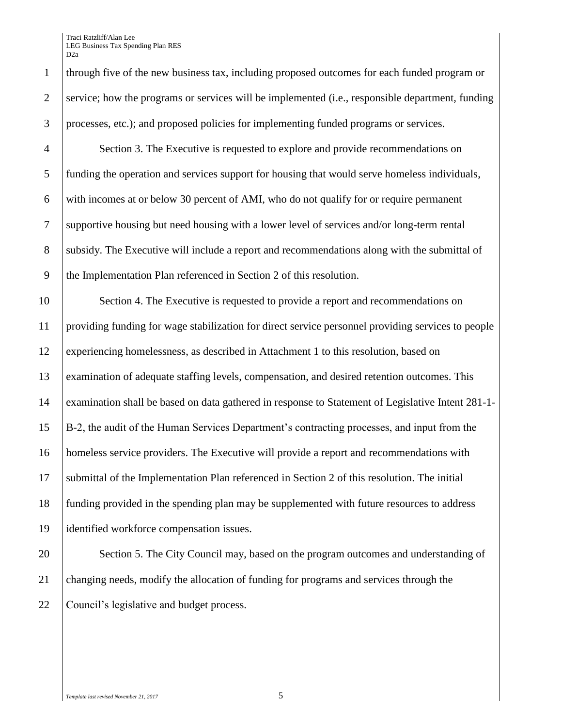Traci Ratzliff/Alan Lee LEG Business Tax Spending Plan RES D2a

 Section 3. The Executive is requested to explore and provide recommendations on funding the operation and services support for housing that would serve homeless individuals, with incomes at or below 30 percent of AMI, who do not qualify for or require permanent supportive housing but need housing with a lower level of services and/or long-term rental 8 subsidy. The Executive will include a report and recommendations along with the submittal of the Implementation Plan referenced in Section 2 of this resolution.

 Section 4. The Executive is requested to provide a report and recommendations on providing funding for wage stabilization for direct service personnel providing services to people experiencing homelessness, as described in Attachment 1 to this resolution, based on examination of adequate staffing levels, compensation, and desired retention outcomes. This examination shall be based on data gathered in response to Statement of Legislative Intent 281-1- B-2, the audit of the Human Services Department's contracting processes, and input from the homeless service providers. The Executive will provide a report and recommendations with submittal of the Implementation Plan referenced in Section 2 of this resolution. The initial funding provided in the spending plan may be supplemented with future resources to address identified workforce compensation issues.

20 Section 5. The City Council may, based on the program outcomes and understanding of changing needs, modify the allocation of funding for programs and services through the Council's legislative and budget process.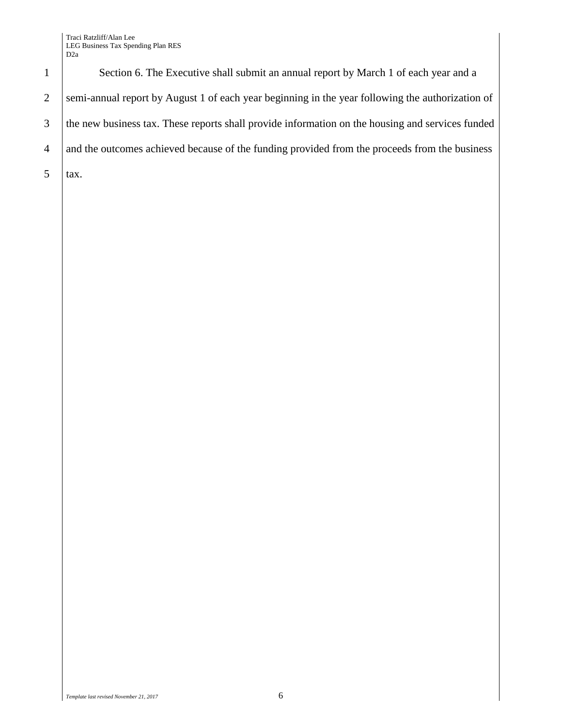Traci Ratzliff/Alan Lee LEG Business Tax Spending Plan RES D2a



 $5$   $\vert$  tax.